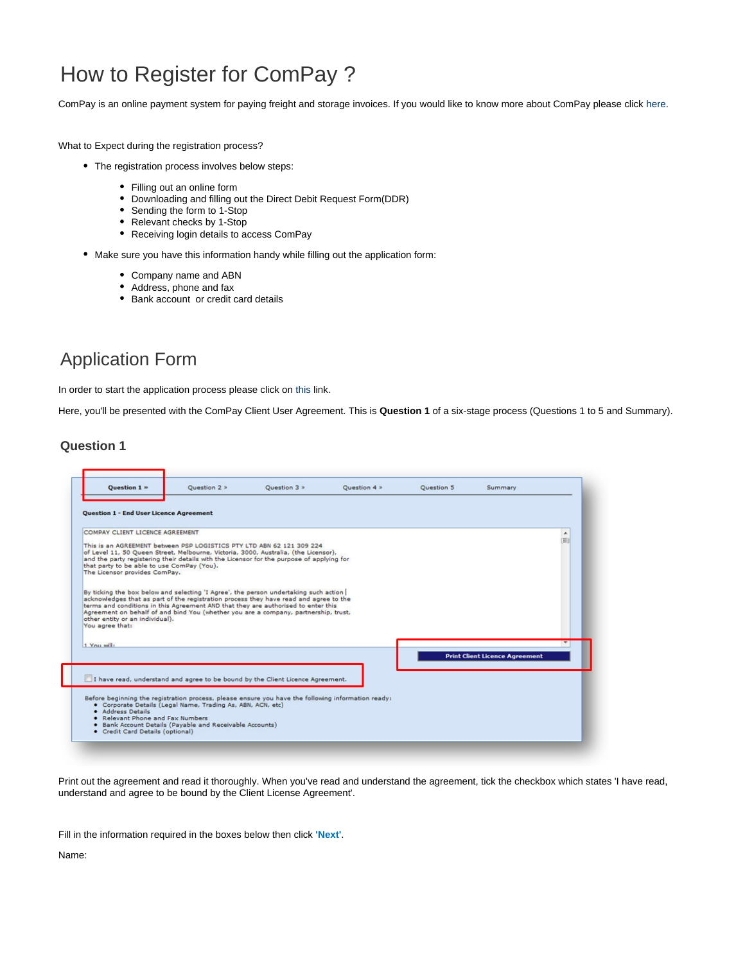# How to Register for ComPay ?

ComPay is an online payment system for paying freight and storage invoices. If you would like to know more about ComPay please click [here](https://www.1-stop.biz/payment/compay/).

What to Expect during the registration process?

- The registration process involves below steps:
	- Filling out an online form
	- Downloading and filling out the Direct Debit Request Form(DDR)
	- Sending the form to 1-Stop
	- Relevant checks by 1-Stop
	- Receiving login details to access ComPay
- Make sure you have this information handy while filling out the application form:
	- Company name and ABN
	- Address, phone and fax
	- Bank account or credit card details

## Application Form

In order to start the application process please click on [this](https://compay.1-stop.biz/Registration/Step1.aspx?B=COMPAY) link.

Here, you'll be presented with the ComPay Client User Agreement. This is **Question 1** of a six-stage process (Questions 1 to 5 and Summary).

#### **Question 1**

| <b>Ouestion 1 »</b>                                                                                                                                                                                                                                                                                                                                                                                                            | <b>Ouestion 2 »</b> | Ouestion 3 » | Ouestion 4 » | <b>Ouestion 5</b> | Summary                               |        |
|--------------------------------------------------------------------------------------------------------------------------------------------------------------------------------------------------------------------------------------------------------------------------------------------------------------------------------------------------------------------------------------------------------------------------------|---------------------|--------------|--------------|-------------------|---------------------------------------|--------|
| <b>Question 1 - End User Licence Agreement</b><br>COMPAY CLIENT LICENCE AGREEMENT<br>This is an AGREEMENT between PSP LOGISTICS PTY LTD ABN 62 121 309 224<br>of Level 11, 50 Queen Street, Melbourne, Victoria, 3000, Australia, (the Licensor),<br>and the party registering their details with the Licensor for the purpose of applying for<br>that party to be able to use ComPay (You).<br>The Licensor provides ComPay.  |                     |              |              |                   |                                       | ۸<br>画 |
| By ticking the box below and selecting 'I Agree', the person undertaking such action<br>acknowledges that as part of the registration process they have read and agree to the<br>terms and conditions in this Agreement AND that they are authorised to enter this<br>Agreement on behalf of and bind You (whether you are a company, partnership, trust,<br>other entity or an individual).<br>You agree that:<br>1 You will: |                     |              |              |                   |                                       |        |
|                                                                                                                                                                                                                                                                                                                                                                                                                                |                     |              |              |                   | <b>Print Client Licence Agreement</b> |        |
| I have read, understand and agree to be bound by the Client Licence Agreement.                                                                                                                                                                                                                                                                                                                                                 |                     |              |              |                   |                                       |        |
| Before beginning the registration process, please ensure you have the following information ready:<br>· Corporate Details (Legal Name, Trading As, ABN, ACN, etc)<br>· Address Details<br>. Relevant Phone and Fax Numbers<br>. Bank Account Details (Payable and Receivable Accounts)<br>• Credit Card Details (optional)                                                                                                     |                     |              |              |                   |                                       |        |

Print out the agreement and read it thoroughly. When you've read and understand the agreement, tick the checkbox which states 'I have read, understand and agree to be bound by the Client License Agreement'.

Fill in the information required in the boxes below then click **'Next'**.

Name: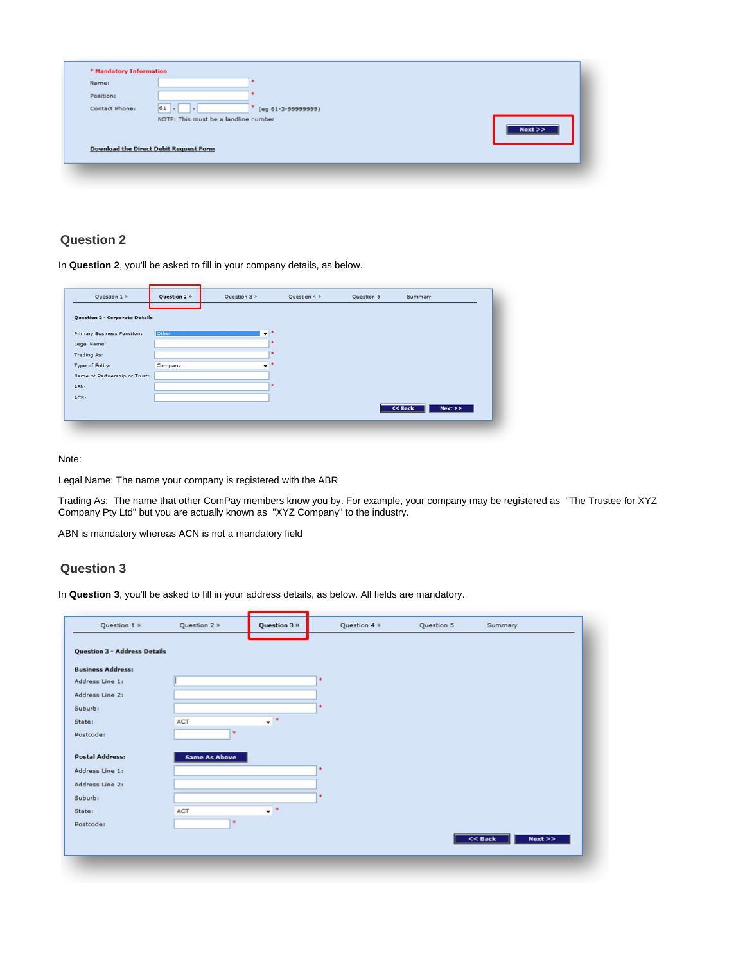| * Mandatory Information |                                               |
|-------------------------|-----------------------------------------------|
| Name:                   |                                               |
| Position:               |                                               |
| Contact Phone:          | $61$ -<br>$(eg 61-3-99999999)$                |
|                         | NOTE: This must be a landline number<br>Next  |
|                         | <b>Download the Direct Debit Request Form</b> |
|                         |                                               |
|                         |                                               |

## **Question 2**

In **Question 2**, you'll be asked to fill in your company details, as below.

| Question 1 >                          | Question 2 » | Question 3 » | Question 4 » | Question 5 | Summary           |
|---------------------------------------|--------------|--------------|--------------|------------|-------------------|
|                                       |              |              |              |            |                   |
| <b>Question 2 - Corporate Details</b> |              |              |              |            |                   |
| Primary Business Function:            | <b>Other</b> | ۰            |              |            |                   |
| Legal Name:                           |              |              |              |            |                   |
| <b>Trading As:</b>                    |              |              |              |            |                   |
| Type of Entity:                       | Company      |              |              |            |                   |
| Name of Partnership or Trust:         |              |              |              |            |                   |
| ABN:                                  |              |              |              |            |                   |
| ACN:                                  |              |              |              |            |                   |
|                                       |              |              |              |            | $<<$ Back<br>Next |
|                                       |              |              |              |            |                   |

#### Note:

Legal Name: The name your company is registered with the ABR

Trading As: The name that other ComPay members know you by. For example, your company may be registered as "The Trustee for XYZ Company Pty Ltd" but you are actually known as "XYZ Company" to the industry.

ABN is mandatory whereas ACN is not a mandatory field

## **Question 3**

In **Question 3**, you'll be asked to fill in your address details, as below. All fields are mandatory.

| <b>Question 3 - Address Details</b><br><b>Business Address:</b><br>ŵ<br>Address Line 1:<br>Address Line 2:<br>sk.<br>Suburb:<br>$\star$ $\cdot$<br><b>ACT</b><br>State:<br>*<br>Postcode:<br><b>Postal Address:</b><br><b>Same As Above</b><br>Address Line 1:<br>Address Line 2:<br>Suburb:<br>$\star$ .<br>ACT.<br>State:<br>米<br>Postcode: |  |
|-----------------------------------------------------------------------------------------------------------------------------------------------------------------------------------------------------------------------------------------------------------------------------------------------------------------------------------------------|--|
|                                                                                                                                                                                                                                                                                                                                               |  |
|                                                                                                                                                                                                                                                                                                                                               |  |
|                                                                                                                                                                                                                                                                                                                                               |  |
|                                                                                                                                                                                                                                                                                                                                               |  |
|                                                                                                                                                                                                                                                                                                                                               |  |
|                                                                                                                                                                                                                                                                                                                                               |  |
|                                                                                                                                                                                                                                                                                                                                               |  |
|                                                                                                                                                                                                                                                                                                                                               |  |
|                                                                                                                                                                                                                                                                                                                                               |  |
|                                                                                                                                                                                                                                                                                                                                               |  |
|                                                                                                                                                                                                                                                                                                                                               |  |
|                                                                                                                                                                                                                                                                                                                                               |  |
|                                                                                                                                                                                                                                                                                                                                               |  |
| Next<br>$<<$ Back                                                                                                                                                                                                                                                                                                                             |  |
|                                                                                                                                                                                                                                                                                                                                               |  |
|                                                                                                                                                                                                                                                                                                                                               |  |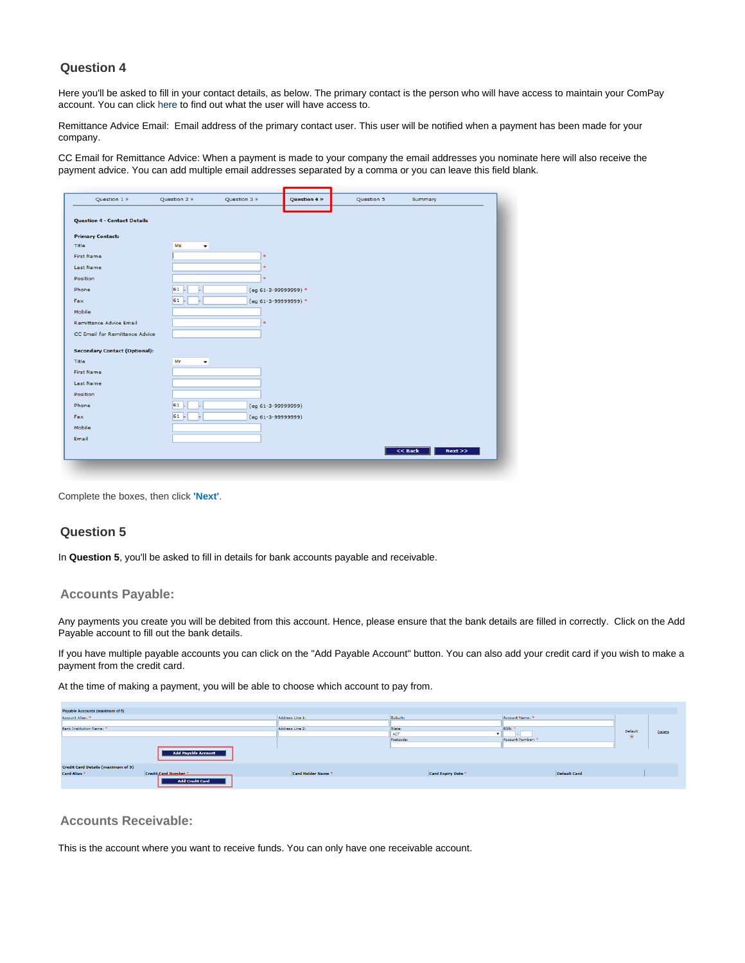## **Question 4**

Here you'll be asked to fill in your contact details, as below. The primary contact is the person who will have access to maintain your ComPay account. You can click [here](https://help.1-stop.biz/pages/viewpage.action?pageId=12025858) to find out what the user will have access to.

Remittance Advice Email: Email address of the primary contact user. This user will be notified when a payment has been made for your company.

CC Email for Remittance Advice: When a payment is made to your company the email addresses you nominate here will also receive the payment advice. You can add multiple email addresses separated by a comma or you can leave this field blank.

| Question 1 »                                   | Question 2 >  | Question 3 »         | <b>Question 4 »</b> | Question 5 | Summary           |
|------------------------------------------------|---------------|----------------------|---------------------|------------|-------------------|
|                                                |               |                      |                     |            |                   |
| <b>Question 4 - Contact Details</b>            |               |                      |                     |            |                   |
|                                                |               |                      |                     |            |                   |
| <b>Primary Contact:</b>                        |               |                      |                     |            |                   |
| Title                                          | Ms<br>$\cdot$ |                      |                     |            |                   |
| <b>First Name</b>                              |               | <b>xk</b>            |                     |            |                   |
| Last Name                                      |               |                      |                     |            |                   |
| Position                                       |               |                      |                     |            |                   |
| Phone                                          | 61            | (eg 61-3-99999999) * |                     |            |                   |
| Fax                                            | 61            | (eg 61-3-99999999) * |                     |            |                   |
| Mobile                                         |               |                      |                     |            |                   |
| <b>Remittance Advice Email</b>                 |               | w                    |                     |            |                   |
| CC Email for Remittance Advice                 |               |                      |                     |            |                   |
|                                                |               |                      |                     |            |                   |
| <b>Secondary Contact (Optional):</b><br>Title: |               |                      |                     |            |                   |
|                                                | Mr<br>۰       |                      |                     |            |                   |
| <b>First Name</b>                              |               |                      |                     |            |                   |
| <b>Last Name</b>                               |               |                      |                     |            |                   |
| Position                                       |               |                      |                     |            |                   |
| Phone                                          | 61            | (eg 61-3-99999999)   |                     |            |                   |
| Fax                                            | 61            | (eg 61-3-99999999)   |                     |            |                   |
| Mobile                                         |               |                      |                     |            |                   |
| Email                                          |               |                      |                     |            |                   |
|                                                |               |                      |                     |            | $<<$ Back<br>Next |
|                                                |               |                      |                     |            |                   |
|                                                |               |                      |                     |            |                   |

Complete the boxes, then click **'Next'**.

### **Question 5**

In **Question 5**, you'll be asked to fill in details for bank accounts payable and receivable.

#### **Accounts Payable:**

Any payments you create you will be debited from this account. Hence, please ensure that the bank details are filled in correctly. Click on the Add Payable account to fill out the bank details.

If you have multiple payable accounts you can click on the "Add Payable Account" button. You can also add your credit card if you wish to make a payment from the credit card.

At the time of making a payment, you will be able to choose which account to pay from.

| Payable Accounts (maximum of 5)           |                            |                    |                    |                     |         |        |
|-------------------------------------------|----------------------------|--------------------|--------------------|---------------------|---------|--------|
| Account Alias: *                          |                            | Address Line 1:    | Suburb:            | Account Name: *     |         |        |
|                                           |                            |                    |                    |                     |         |        |
| <b>Bank Institution Name:</b>             |                            | Address Line 2:    | State:             | BSB:                | Default |        |
|                                           |                            |                    | <b>ACT</b>         |                     | $\odot$ | Delete |
|                                           |                            |                    | Postcode:          | Account Number:     |         |        |
|                                           |                            |                    |                    |                     |         |        |
|                                           | <b>Add Payable Account</b> |                    |                    |                     |         |        |
| <b>Credit Card Details (maximum of 5)</b> |                            |                    |                    |                     |         |        |
| Card Alias <sup>*</sup>                   | Credit Card Number         | Card Holder Name * | Card Expiry Date * | <b>Default Card</b> |         |        |
|                                           | <b>Add Credit Card</b>     |                    |                    |                     |         |        |

#### **Accounts Receivable:**

This is the account where you want to receive funds. You can only have one receivable account.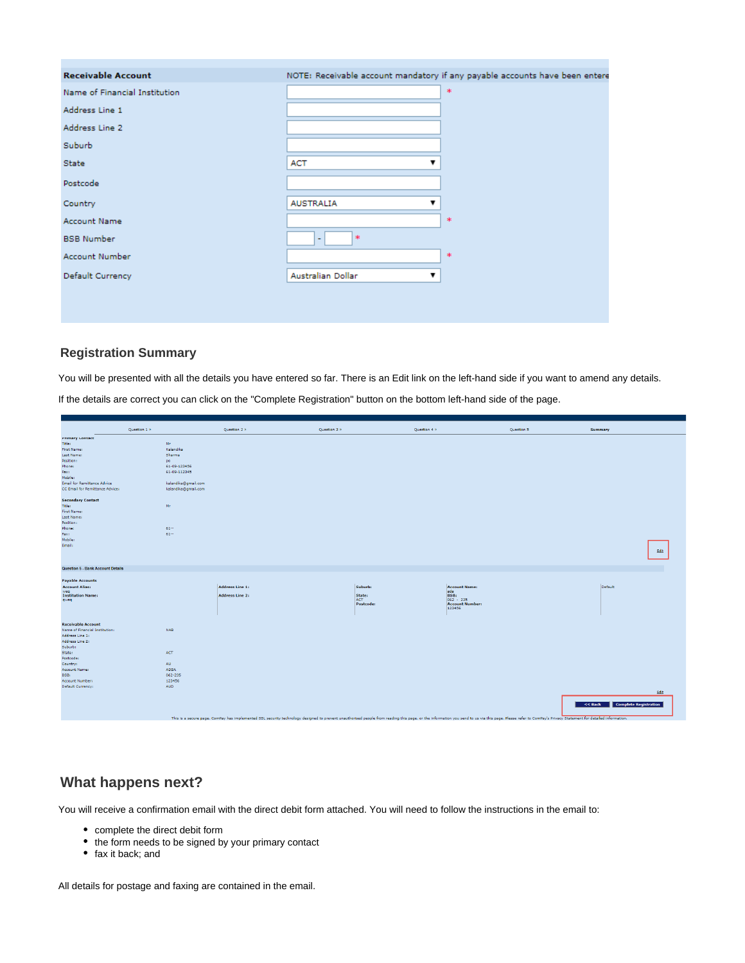| <b>Receivable Account</b>     |                                    | NOTE: Receivable account mandatory if any payable accounts have been entere |
|-------------------------------|------------------------------------|-----------------------------------------------------------------------------|
| Name of Financial Institution |                                    | $\mathcal{H}$                                                               |
| Address Line 1                |                                    |                                                                             |
| Address Line 2                |                                    |                                                                             |
| Suburb                        |                                    |                                                                             |
| State                         | <b>ACT</b><br>▼                    |                                                                             |
| Postcode                      |                                    |                                                                             |
| Country                       | <b>AUSTRALIA</b><br>$\blacksquare$ |                                                                             |
| <b>Account Name</b>           |                                    | 宋                                                                           |
| <b>BSB Number</b>             | $*$<br>$\overline{a}$              |                                                                             |
| <b>Account Number</b>         |                                    | 来                                                                           |
| Default Currency              | Australian Dollar<br>▼             |                                                                             |
|                               |                                    |                                                                             |

## **Registration Summary**

You will be presented with all the details you have entered so far. There is an Edit link on the left-hand side if you want to amend any details. If the details are correct you can click on the "Complete Registration" button on the bottom left-hand side of the page.

|                                                                       | Question 1 » |                     | Question 2 »                                                                                                                                                                                                                   | Question 3 »  | Question 4 » |                                  | Question 5 | Summary                       |      |
|-----------------------------------------------------------------------|--------------|---------------------|--------------------------------------------------------------------------------------------------------------------------------------------------------------------------------------------------------------------------------|---------------|--------------|----------------------------------|------------|-------------------------------|------|
| <b>Primary Contact</b>                                                |              |                     |                                                                                                                                                                                                                                |               |              |                                  |            |                               |      |
| Title:                                                                |              | Mr                  |                                                                                                                                                                                                                                |               |              |                                  |            |                               |      |
| First Name:                                                           |              | Kalandika           |                                                                                                                                                                                                                                |               |              |                                  |            |                               |      |
| Last Name:                                                            |              | Sharma              |                                                                                                                                                                                                                                |               |              |                                  |            |                               |      |
| Position:                                                             |              | po.                 |                                                                                                                                                                                                                                |               |              |                                  |            |                               |      |
| Phone:                                                                |              | 61-09-123456        |                                                                                                                                                                                                                                |               |              |                                  |            |                               |      |
| Fax:                                                                  |              | 61-09-112345        |                                                                                                                                                                                                                                |               |              |                                  |            |                               |      |
| Mobile:                                                               |              |                     |                                                                                                                                                                                                                                |               |              |                                  |            |                               |      |
| <b>Email for Remittance Advice</b><br>CC Email for Remittance Advice: |              | kalandika@gmail.com |                                                                                                                                                                                                                                |               |              |                                  |            |                               |      |
|                                                                       |              | kalandika@gmail.com |                                                                                                                                                                                                                                |               |              |                                  |            |                               |      |
| <b>Secondary Contact</b>                                              |              |                     |                                                                                                                                                                                                                                |               |              |                                  |            |                               |      |
| Title:                                                                |              | Mr                  |                                                                                                                                                                                                                                |               |              |                                  |            |                               |      |
| First Name:                                                           |              |                     |                                                                                                                                                                                                                                |               |              |                                  |            |                               |      |
| Last Name:                                                            |              |                     |                                                                                                                                                                                                                                |               |              |                                  |            |                               |      |
| Position:                                                             |              |                     |                                                                                                                                                                                                                                |               |              |                                  |            |                               |      |
| Phone:                                                                |              | $61 -$              |                                                                                                                                                                                                                                |               |              |                                  |            |                               |      |
| Fax:                                                                  |              | $61 -$              |                                                                                                                                                                                                                                |               |              |                                  |            |                               |      |
| Mobile:                                                               |              |                     |                                                                                                                                                                                                                                |               |              |                                  |            |                               |      |
| Email:                                                                |              |                     |                                                                                                                                                                                                                                |               |              |                                  |            |                               | Edit |
| <b>Question 5 - Bank Account Details</b>                              |              |                     |                                                                                                                                                                                                                                |               |              |                                  |            |                               |      |
|                                                                       |              |                     |                                                                                                                                                                                                                                |               |              |                                  |            |                               |      |
| <b>Payable Accounts</b>                                               |              |                     |                                                                                                                                                                                                                                |               |              |                                  |            |                               |      |
| <b>Account Alias:</b>                                                 |              |                     | <b>Address Line 1:</b>                                                                                                                                                                                                         | Suburb:       |              | <b>Account Name:</b>             |            | Default                       |      |
| weg                                                                   |              |                     |                                                                                                                                                                                                                                |               |              | ada                              |            |                               |      |
| <b>Institution Name:</b><br>qweq                                      |              |                     | <b>Address Line 2:</b>                                                                                                                                                                                                         | State:<br>ACT |              | $\frac{BSB!}{062 - 235}$         |            |                               |      |
|                                                                       |              |                     |                                                                                                                                                                                                                                | Postcode:     |              | <b>Account Number:</b><br>123456 |            |                               |      |
|                                                                       |              |                     |                                                                                                                                                                                                                                |               |              |                                  |            |                               |      |
| <b>Receivable Account</b>                                             |              |                     |                                                                                                                                                                                                                                |               |              |                                  |            |                               |      |
| Name of Financial Institution:                                        |              | <b>NAB</b>          |                                                                                                                                                                                                                                |               |              |                                  |            |                               |      |
| Address Line 1:                                                       |              |                     |                                                                                                                                                                                                                                |               |              |                                  |            |                               |      |
| Address Line 2:                                                       |              |                     |                                                                                                                                                                                                                                |               |              |                                  |            |                               |      |
| Suburb:                                                               |              |                     |                                                                                                                                                                                                                                |               |              |                                  |            |                               |      |
| State:                                                                |              | <b>ACT</b>          |                                                                                                                                                                                                                                |               |              |                                  |            |                               |      |
| Postcode:                                                             |              |                     |                                                                                                                                                                                                                                |               |              |                                  |            |                               |      |
| Country:                                                              |              | <b>AU</b>           |                                                                                                                                                                                                                                |               |              |                                  |            |                               |      |
| Account Name:                                                         |              | ADSA                |                                                                                                                                                                                                                                |               |              |                                  |            |                               |      |
| BSB:                                                                  |              | 062-235             |                                                                                                                                                                                                                                |               |              |                                  |            |                               |      |
| Account Number:                                                       |              | 123456              |                                                                                                                                                                                                                                |               |              |                                  |            |                               |      |
| Default Currency:                                                     |              | <b>AUD</b>          |                                                                                                                                                                                                                                |               |              |                                  |            |                               | Edit |
|                                                                       |              |                     |                                                                                                                                                                                                                                |               |              |                                  |            |                               |      |
|                                                                       |              |                     |                                                                                                                                                                                                                                |               |              |                                  |            | << Back Complete Registration |      |
|                                                                       |              |                     | This is a secure page. ComPay has implemented SSL security technology designed to prevent upauthorised people from reading this page, or the information you send to us via this page. Please refer to ComPay's Privacy Statem |               |              |                                  |            |                               |      |

## **What happens next?**

You will receive a confirmation email with the direct debit form attached. You will need to follow the instructions in the email to:

- complete the direct debit form
- the form needs to be signed by your primary contact
- fax it back; and

All details for postage and faxing are contained in the email.